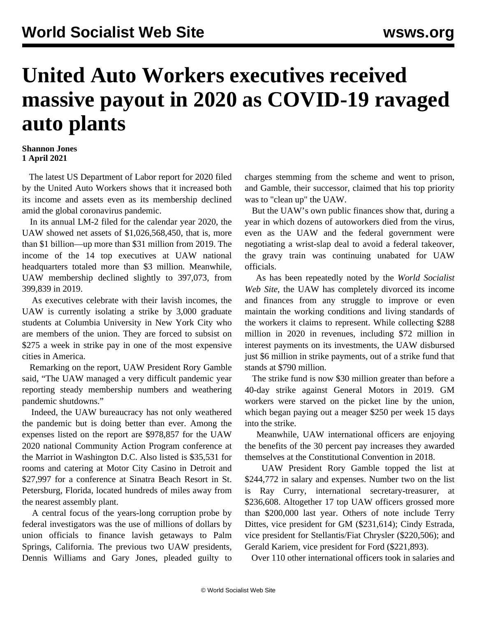## **United Auto Workers executives received massive payout in 2020 as COVID-19 ravaged auto plants**

## **Shannon Jones 1 April 2021**

 The latest US Department of Labor report for 2020 filed by the United Auto Workers shows that it increased both its income and assets even as its membership declined amid the global coronavirus pandemic.

 In its annual [LM-2](https://olmsapps.dol.gov/query/orgReport.do?rptId=752003&rptForm=LM2Form) filed for the calendar year 2020, the UAW showed net assets of \$1,026,568,450, that is, more than \$1 billion—up more than \$31 million from 2019. The income of the 14 top executives at UAW national headquarters totaled more than \$3 million. Meanwhile, UAW membership declined slightly to 397,073, from 399,839 in 2019.

 As executives celebrate with their lavish incomes, the UAW is currently isolating a strike by 3,000 graduate students at Columbia University in New York City who are members of the union. They are forced to subsist on \$275 a week in strike pay in one of the most expensive cities in America.

 Remarking on the report, UAW President Rory Gamble said, "The UAW managed a very difficult pandemic year reporting steady membership numbers and weathering pandemic shutdowns."

 Indeed, the UAW bureaucracy has not only weathered the pandemic but is doing better than ever. Among the expenses listed on the report are \$978,857 for the UAW 2020 national Community Action Program conference at the Marriot in Washington D.C. Also listed is \$35,531 for rooms and catering at Motor City Casino in Detroit and \$27,997 for a conference at Sinatra Beach Resort in St. Petersburg, Florida, located hundreds of miles away from the nearest assembly plant.

 A central focus of the years-long corruption probe by federal investigators was the use of millions of dollars by union officials to finance lavish getaways to Palm Springs, California. The previous two UAW presidents, Dennis Williams and Gary Jones, pleaded guilty to charges stemming from the scheme and went to prison, and Gamble, their successor, claimed that his top priority was to "clean up" the UAW.

 But the UAW's own public finances show that, during a year in which dozens of autoworkers died from the virus, even as the UAW and the federal government were negotiating a wrist-slap deal to avoid a federal takeover, the gravy train was continuing unabated for UAW officials.

 As has been repeatedly noted by the *World Socialist Web Site*, the UAW has completely divorced its income and finances from any struggle to improve or even maintain the working conditions and living standards of the workers it claims to represent. While collecting \$288 million in 2020 in revenues, including \$72 million in interest payments on its investments, the UAW disbursed just \$6 million in strike payments, out of a strike fund that stands at \$790 million.

 The strike fund is now \$30 million greater than before a [40-day strike against General Motors](/en/articles/2019/09/19/pers-s19.html) in 2019. GM workers were starved on the picket line by the union, which began paying out a meager \$250 per week 15 days into the strike.

 Meanwhile, UAW international officers are enjoying the benefits of the 30 percent pay increases they awarded themselves at the Constitutional Convention in 2018.

 UAW President Rory Gamble topped the list at \$244,772 in salary and expenses. Number two on the list is Ray Curry, international secretary-treasurer, at \$236,608. Altogether 17 top UAW officers grossed more than \$200,000 last year. Others of note include Terry Dittes, vice president for GM (\$231,614); Cindy Estrada, vice president for Stellantis/Fiat Chrysler (\$220,506); and Gerald Kariem, vice president for Ford (\$221,893).

Over 110 other international officers took in salaries and